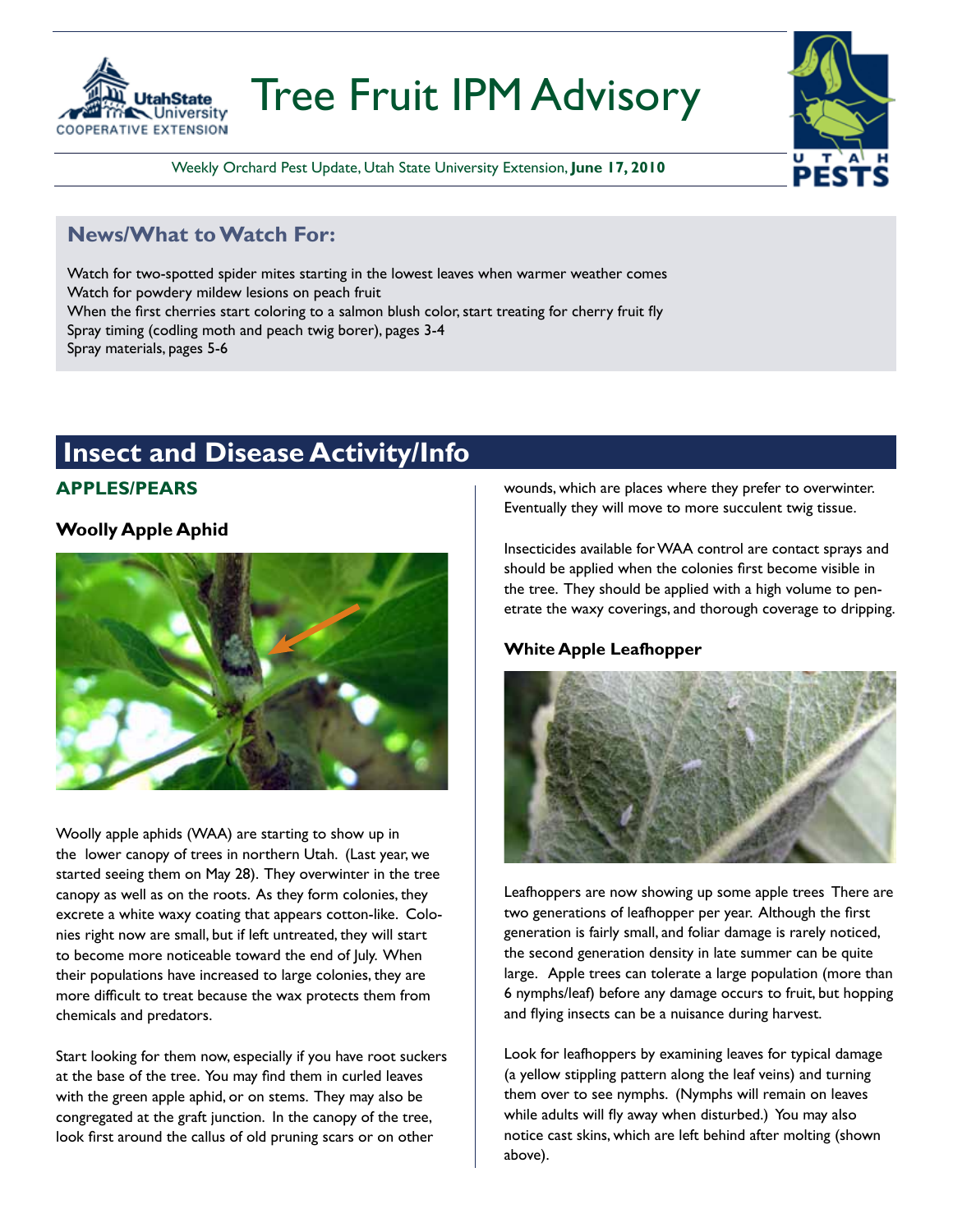

# Tree Fruit IPM Advisory

Weekly Orchard Pest Update, Utah State University Extension, **June 17, 2010**

#### **News/What to Watch For:**

Watch for two-spotted spider mites starting in the lowest leaves when warmer weather comes Watch for powdery mildew lesions on peach fruit When the first cherries start coloring to a salmon blush color, start treating for cherry fruit fly Spray timing (codling moth and peach twig borer), pages 3-4 Spray materials, pages 5-6

#### **Insect and Disease Activity/Info**

#### **APPLES/PEARS**

#### **Woolly Apple Aphid**



Woolly apple aphids (WAA) are starting to show up in the lower canopy of trees in northern Utah. (Last year, we started seeing them on May 28). They overwinter in the tree canopy as well as on the roots. As they form colonies, they excrete a white waxy coating that appears cotton-like. Colonies right now are small, but if left untreated, they will start to become more noticeable toward the end of July. When their populations have increased to large colonies, they are more difficult to treat because the wax protects them from chemicals and predators.

Start looking for them now, especially if you have root suckers at the base of the tree. You may find them in curled leaves with the green apple aphid, or on stems. They may also be congregated at the graft junction. In the canopy of the tree, look first around the callus of old pruning scars or on other

wounds, which are places where they prefer to overwinter. Eventually they will move to more succulent twig tissue.

Insecticides available for WAA control are contact sprays and should be applied when the colonies first become visible in the tree. They should be applied with a high volume to penetrate the waxy coverings, and thorough coverage to dripping.

#### **White Apple Leafhopper**



Leafhoppers are now showing up some apple trees There are two generations of leafhopper per year. Although the first generation is fairly small, and foliar damage is rarely noticed, the second generation density in late summer can be quite large. Apple trees can tolerate a large population (more than 6 nymphs/leaf) before any damage occurs to fruit, but hopping and flying insects can be a nuisance during harvest.

Look for leafhoppers by examining leaves for typical damage (a yellow stippling pattern along the leaf veins) and turning them over to see nymphs. (Nymphs will remain on leaves while adults will fly away when disturbed.) You may also notice cast skins, which are left behind after molting (shown above).

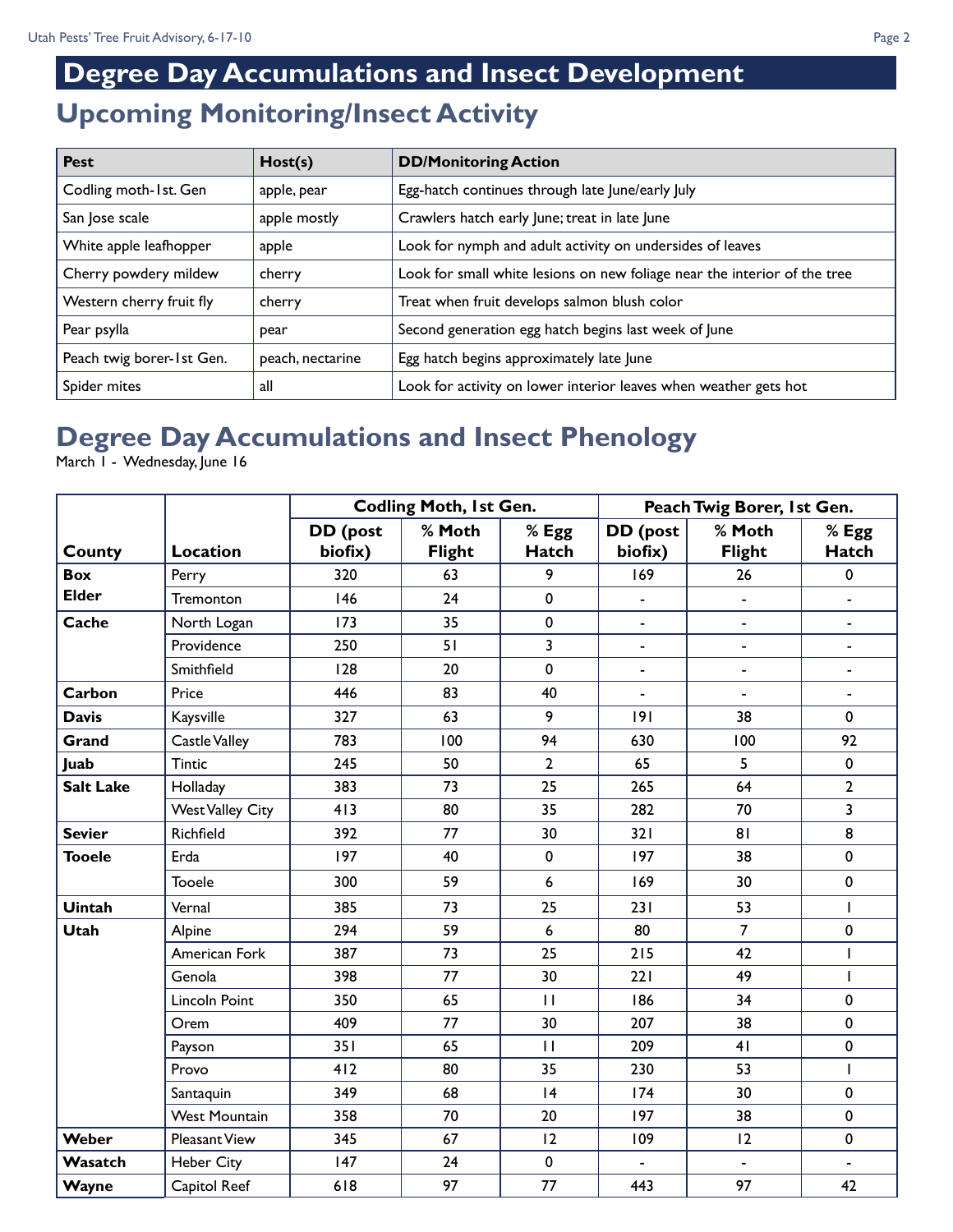### **Upcoming Monitoring/Insect Activity Degree Day Accumulations and Insect Development**

| <b>Pest</b>               | Host(s)          | <b>DD/Monitoring Action</b>                                               |
|---------------------------|------------------|---------------------------------------------------------------------------|
| Codling moth-1st. Gen     | apple, pear      | Egg-hatch continues through late June/early July                          |
| San Jose scale            | apple mostly     | Crawlers hatch early June; treat in late June                             |
| White apple leafhopper    | apple            | Look for nymph and adult activity on undersides of leaves                 |
| Cherry powdery mildew     | cherry           | Look for small white lesions on new foliage near the interior of the tree |
| Western cherry fruit fly  | cherry           | Treat when fruit develops salmon blush color                              |
| Pear psylla               | pear             | Second generation egg hatch begins last week of June                      |
| Peach twig borer-1st Gen. | peach, nectarine | Egg hatch begins approximately late June                                  |
| Spider mites              | all              | Look for activity on lower interior leaves when weather gets hot          |

### **Degree Day Accumulations and Insect Phenology**

March I - Wednesday, June 16

|                  |                         | <b>Codling Moth, 1st Gen.</b> |                         |                       | Peach Twig Borer, 1st Gen. |                          |                         |  |
|------------------|-------------------------|-------------------------------|-------------------------|-----------------------|----------------------------|--------------------------|-------------------------|--|
| County           | <b>Location</b>         | DD (post<br>biofix)           | % Moth<br><b>Flight</b> | % Egg<br><b>Hatch</b> | DD (post<br>biofix)        | % Moth<br><b>Flight</b>  | $%$ Egg<br><b>Hatch</b> |  |
| <b>Box</b>       | Perry                   | 320                           | 63                      | 9                     | 169                        | 26                       | $\pmb{0}$               |  |
| <b>Elder</b>     | Tremonton               | 146                           | 24                      | 0                     |                            | $\overline{\phantom{a}}$ | $\blacksquare$          |  |
| Cache            | North Logan             | 173                           | 35                      | $\mathbf 0$           | $\blacksquare$             | $\blacksquare$           | $\blacksquare$          |  |
|                  | Providence              | 250                           | 51                      | 3                     | $\blacksquare$             | $\blacksquare$           | $\blacksquare$          |  |
|                  | Smithfield              | 128                           | 20                      | $\mathbf 0$           | $\blacksquare$             | $\blacksquare$           | $\blacksquare$          |  |
| Carbon           | Price                   | 446                           | 83                      | 40                    | $\blacksquare$             | $\blacksquare$           | $\blacksquare$          |  |
| <b>Davis</b>     | Kaysville               | 327                           | 63                      | 9                     | 9                          | 38                       | $\mathbf 0$             |  |
| Grand            | Castle Valley           | 783                           | 100                     | 94                    | 630                        | 100                      | 92                      |  |
| Juab             | <b>Tintic</b>           | 245                           | 50                      | $\overline{2}$        | 65                         | 5                        | 0                       |  |
| <b>Salt Lake</b> | Holladay                | 383                           | 73                      | 25                    | 265                        | 64                       | $\overline{2}$          |  |
|                  | <b>West Valley City</b> | 413                           | 80                      | 35                    | 282                        | 70                       | 3                       |  |
| <b>Sevier</b>    | Richfield               | 392                           | 77                      | 30                    | 321                        | 81                       | 8                       |  |
| <b>Tooele</b>    | Erda                    | 197                           | 40                      | $\pmb{0}$             | 197                        | 38                       | 0                       |  |
|                  | <b>Tooele</b>           | 300                           | 59                      | 6                     | 169                        | 30                       | 0                       |  |
| <b>Uintah</b>    | Vernal                  | 385                           | 73                      | 25                    | 231                        | 53                       | $\overline{1}$          |  |
| <b>Utah</b>      | Alpine                  | 294                           | 59                      | 6                     | 80                         | $\overline{7}$           | $\pmb{0}$               |  |
|                  | American Fork           | 387                           | 73                      | 25                    | 215                        | 42                       | $\mathbf{I}$            |  |
|                  | Genola                  | 398                           | 77                      | 30                    | 221                        | 49                       | $\mathbf{I}$            |  |
|                  | Lincoln Point           | 350                           | 65                      | $\mathbf{H}$          | 186                        | 34                       | 0                       |  |
|                  | Orem                    | 409                           | 77                      | 30                    | 207                        | 38                       | $\pmb{0}$               |  |
|                  | Payson                  | 351                           | 65                      | $\mathbf{H}$          | 209                        | 41                       | 0                       |  |
|                  | Provo                   | 412                           | 80                      | 35                    | 230                        | 53                       | $\mathsf{I}$            |  |
|                  | Santaquin               | 349                           | 68                      | 4                     | 174                        | 30                       | $\pmb{0}$               |  |
|                  | <b>West Mountain</b>    | 358                           | 70                      | 20                    | 197                        | 38                       | $\mathbf 0$             |  |
| Weber            | Pleasant View           | 345                           | 67                      | 12                    | 109                        | 12                       | $\pmb{0}$               |  |
| Wasatch          | <b>Heber City</b>       | 147                           | 24                      | $\mathbf 0$           |                            |                          |                         |  |
| Wayne            | Capitol Reef            | 618                           | 97                      | 77                    | 443                        | 97                       | 42                      |  |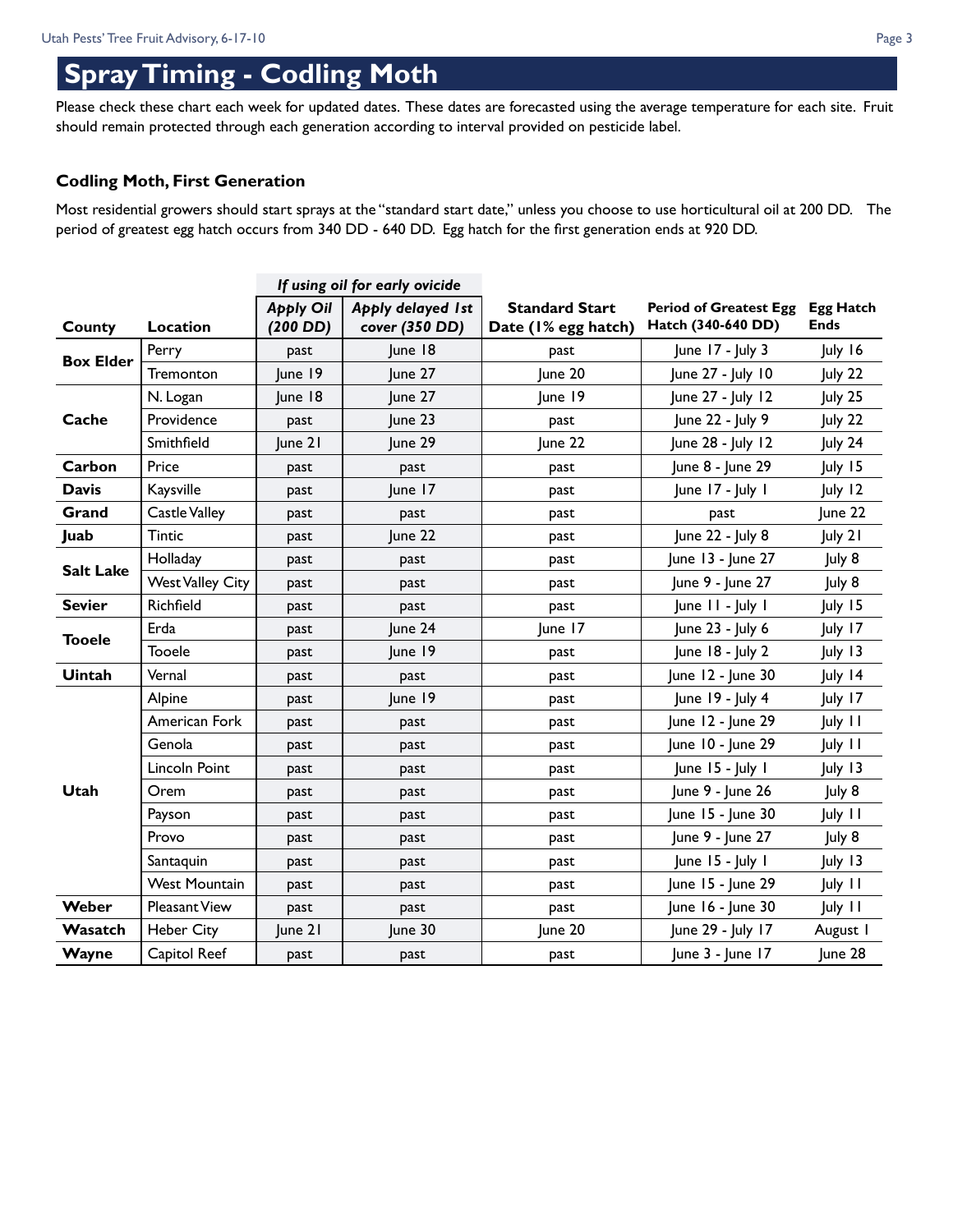### **Spray Timing - Codling Moth**

Please check these chart each week for updated dates. These dates are forecasted using the average temperature for each site. Fruit should remain protected through each generation according to interval provided on pesticide label.

#### **Codling Moth, First Generation**

Most residential growers should start sprays at the "standard start date," unless you choose to use horticultural oil at 200 DD. The period of greatest egg hatch occurs from 340 DD - 640 DD. Egg hatch for the first generation ends at 920 DD.

|                  |                         | If using oil for early ovicide |                                            |                                              |                                                     |                                 |
|------------------|-------------------------|--------------------------------|--------------------------------------------|----------------------------------------------|-----------------------------------------------------|---------------------------------|
| County           | Location                | <b>Apply Oil</b><br>$(200$ DD) | <b>Apply delayed 1st</b><br>cover (350 DD) | <b>Standard Start</b><br>Date (I% egg hatch) | <b>Period of Greatest Egg</b><br>Hatch (340-640 DD) | <b>Egg Hatch</b><br><b>Ends</b> |
| <b>Box Elder</b> | Perry                   | past                           | June 18                                    | past                                         | June 17 - July 3                                    | July 16                         |
|                  | Tremonton               | June 19                        | June 27                                    | June 20                                      | June 27 - July 10                                   | July 22                         |
|                  | N. Logan                | June 18                        | June 27                                    | June 19                                      | June 27 - July 12                                   | July 25                         |
| Cache            | Providence              | past                           | June 23                                    | past                                         | June 22 - July 9                                    | July 22                         |
|                  | Smithfield              | June 21                        | June 29                                    | June 22                                      | June 28 - July 12                                   | July 24                         |
| Carbon           | Price                   | past                           | past                                       | past                                         | June 8 - June 29                                    | July 15                         |
| <b>Davis</b>     | Kaysville               | past                           | June 17                                    | past                                         | June 17 - July 1                                    | July 12                         |
| Grand            | <b>Castle Valley</b>    | past                           | past                                       | past                                         | past                                                | June 22                         |
| Juab             | <b>Tintic</b>           | past                           | June 22                                    | past                                         | June 22 - July 8                                    | July 21                         |
| <b>Salt Lake</b> | Holladay                | past                           | past                                       | past                                         | June 13 - June 27                                   | July 8                          |
|                  | <b>West Valley City</b> | past                           | past                                       | past                                         | June 9 - June 27                                    | July 8                          |
| <b>Sevier</b>    | Richfield               | past                           | past                                       | past                                         | June 11 - July 1                                    | July 15                         |
| <b>Tooele</b>    | Erda                    | past                           | June 24                                    | June 17                                      | June 23 - July 6                                    | July 17                         |
|                  | <b>Tooele</b>           | past                           | June 19                                    | past                                         | June 18 - July 2                                    | July 13                         |
| <b>Uintah</b>    | Vernal                  | past                           | past                                       | past                                         | June 12 - June 30                                   | July 14                         |
|                  | Alpine                  | past                           | June 19                                    | past                                         | June 19 - July 4                                    | July 17                         |
|                  | American Fork           | past                           | past                                       | past                                         | June 12 - June 29                                   | July 11                         |
|                  | Genola                  | past                           | past                                       | past                                         | June 10 - June 29                                   | July 11                         |
|                  | Lincoln Point           | past                           | past                                       | past                                         | June 15 - July 1                                    | July 13                         |
| Utah             | Orem                    | past                           | past                                       | past                                         | June 9 - June 26                                    | July 8                          |
|                  | Payson                  | past                           | past                                       | past                                         | June 15 - June 30                                   | July 11                         |
|                  | Provo                   | past                           | past                                       | past                                         | June 9 - June 27                                    | July 8                          |
|                  | Santaquin               | past                           | past                                       | past                                         | June 15 - July 1                                    | July 13                         |
|                  | <b>West Mountain</b>    | past                           | past                                       | past                                         | June 15 - June 29                                   | July 11                         |
| Weber            | <b>Pleasant View</b>    | past                           | past                                       | past                                         | June 16 - June 30                                   | July 11                         |
| Wasatch          | <b>Heber City</b>       | $ $ une 21                     | June 30                                    | June 20                                      | June 29 - July 17                                   | August I                        |
| Wayne            | Capitol Reef            | past                           | past                                       | past                                         | June 3 - June 17                                    | June 28                         |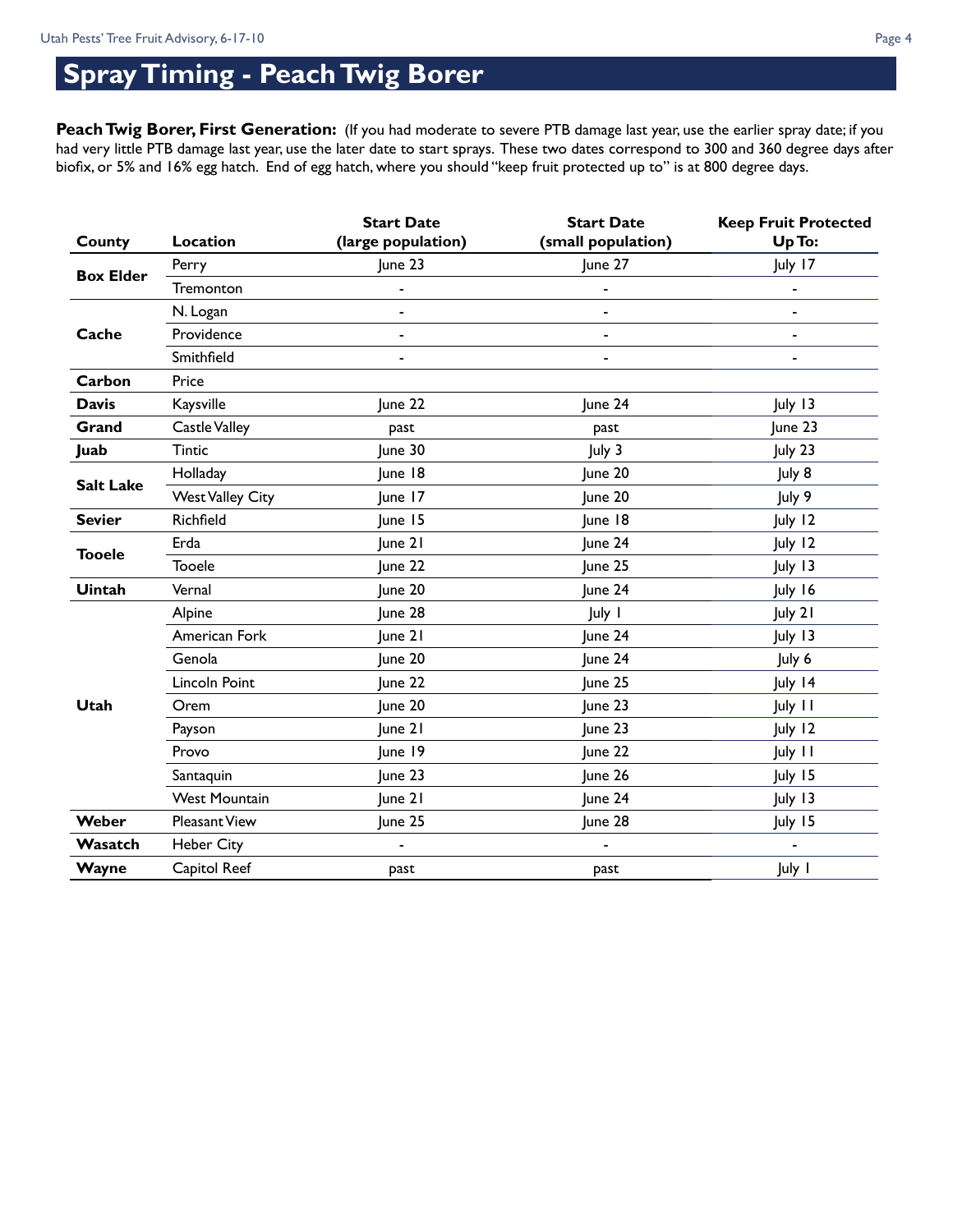## **Spray Timing - Peach Twig Borer**

Peach Twig Borer, First Generation: (If you had moderate to severe PTB damage last year, use the earlier spray date; if you had very little PTB damage last year, use the later date to start sprays. These two dates correspond to 300 and 360 degree days after biofix, or 5% and 16% egg hatch. End of egg hatch, where you should "keep fruit protected up to" is at 800 degree days.

|                  |                         | <b>Start Date</b>            | <b>Start Date</b>  | <b>Keep Fruit Protected</b> |
|------------------|-------------------------|------------------------------|--------------------|-----------------------------|
| County           | Location                | (large population)           | (small population) | Up To:                      |
| <b>Box Elder</b> | Perry                   | June 23                      | June 27            | July 17                     |
|                  | Tremonton               |                              |                    |                             |
|                  | N. Logan                |                              |                    |                             |
| Cache            | Providence              | $\overline{a}$               |                    |                             |
|                  | Smithfield              | $\qquad \qquad \blacksquare$ |                    |                             |
| Carbon           | Price                   |                              |                    |                             |
| <b>Davis</b>     | Kaysville               | June 22                      | June 24            | July 13                     |
| Grand            | Castle Valley           | past                         | past               | June 23                     |
| Juab             | <b>Tintic</b>           | June 30                      | July 3             | July 23                     |
| <b>Salt Lake</b> | Holladay                | June 18                      | June 20            | July 8                      |
|                  | <b>West Valley City</b> | June 17                      | June 20            | July 9                      |
| <b>Sevier</b>    | Richfield               | June 15                      | June 18            | July 12                     |
|                  | Erda                    | June 21                      | June 24            | July 12                     |
| <b>Tooele</b>    | <b>Tooele</b>           | June 22                      | June 25            | July 13                     |
| Uintah           | Vernal                  | June 20                      | June 24            | July 16                     |
|                  | Alpine                  | June 28                      | July I             | July 21                     |
|                  | American Fork           | June 21                      | June 24            | July 13                     |
|                  | Genola                  | June 20                      | June 24            | July 6                      |
|                  | Lincoln Point           | June 22                      | June 25            | July 14                     |
| <b>Utah</b>      | Orem                    | June 20                      | June 23            | July 11                     |
|                  | Payson                  | June 21                      | June 23            | July 12                     |
|                  | Provo                   | June 19                      | June 22            | July 11                     |
|                  | Santaquin               | June 23                      | June 26            | July 15                     |
|                  | <b>West Mountain</b>    | June 21                      | June 24            | July 13                     |
| Weber            | Pleasant View           | June 25                      | June 28            | July 15                     |
| Wasatch          | <b>Heber City</b>       |                              |                    |                             |
| Wayne            | Capitol Reef            | past                         | past               | July 1                      |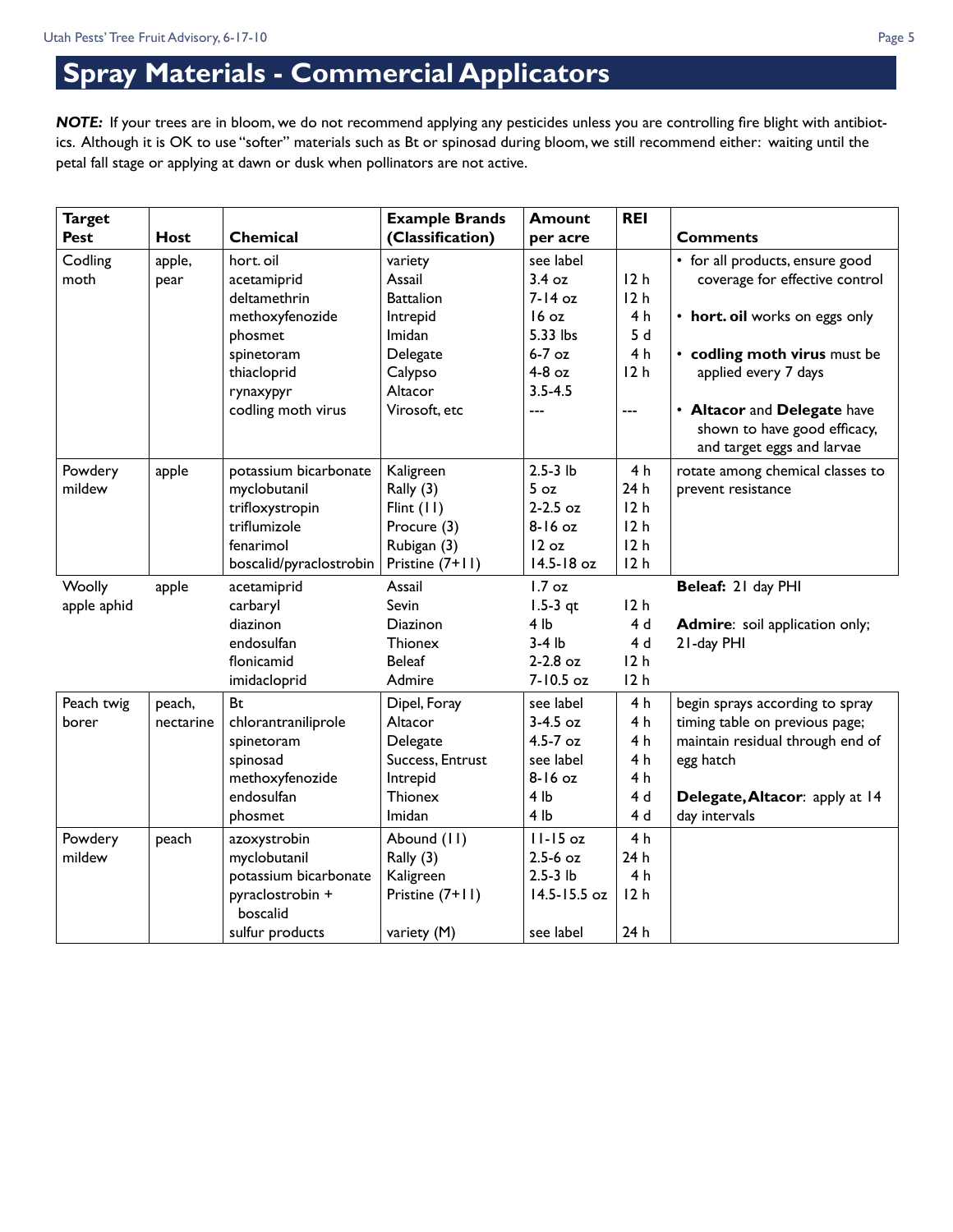### **Spray Materials - Commercial Applicators**

*NOTE:* If your trees are in bloom, we do not recommend applying any pesticides unless you are controlling fire blight with antibiotics. Although it is OK to use "softer" materials such as Bt or spinosad during bloom, we still recommend either: waiting until the petal fall stage or applying at dawn or dusk when pollinators are not active.

| <b>Target</b> |             |                         | <b>Example Brands</b> | <b>Amount</b>   | <b>REI</b>      |                                                                                           |
|---------------|-------------|-------------------------|-----------------------|-----------------|-----------------|-------------------------------------------------------------------------------------------|
| Pest          | <b>Host</b> | Chemical                | (Classification)      | per acre        |                 | <b>Comments</b>                                                                           |
| Codling       | apple,      | hort. oil               | variety               | see label       |                 | • for all products, ensure good                                                           |
| moth          | pear        | acetamiprid             | Assail                | 3.4 oz          | 12h             | coverage for effective control                                                            |
|               |             | deltamethrin            | <b>Battalion</b>      | $7-14$ oz       | 12 <sub>h</sub> |                                                                                           |
|               |             | methoxyfenozide         | Intrepid              | 16 oz           | 4 <sub>h</sub>  | • hort. oil works on eggs only                                                            |
|               |             | phosmet                 | Imidan                | 5.33 lbs        | 5d              |                                                                                           |
|               |             | spinetoram              | Delegate              | $6-7$ oz        | 4 <sub>h</sub>  | • codling moth virus must be                                                              |
|               |             | thiacloprid             | Calypso               | $4-8$ oz        | 12h             | applied every 7 days                                                                      |
|               |             | rynaxypyr               | Altacor               | $3.5 - 4.5$     |                 |                                                                                           |
|               |             | codling moth virus      | Virosoft, etc         | $\overline{a}$  | ---             | • Altacor and Delegate have<br>shown to have good efficacy,<br>and target eggs and larvae |
| Powdery       | apple       | potassium bicarbonate   | Kaligreen             | $2.5-3$ lb      | 4 <sub>h</sub>  | rotate among chemical classes to                                                          |
| mildew        |             | myclobutanil            | Rally (3)             | 5 <sub>oz</sub> | 24 h            | prevent resistance                                                                        |
|               |             | trifloxystropin         | Flint $(11)$          | $2 - 2.5$ oz    | 12h             |                                                                                           |
|               |             | triflumizole            | Procure (3)           | 8-16 oz         | 12h             |                                                                                           |
|               |             | fenarimol               | Rubigan (3)           | 12 oz           | 12h             |                                                                                           |
|               |             | boscalid/pyraclostrobin | Pristine (7+11)       | 14.5-18 oz      | 12h             |                                                                                           |
| Woolly        | apple       | acetamiprid             | Assail                | $1.7$ oz        |                 | Beleaf: 21 day PHI                                                                        |
| apple aphid   |             | carbaryl                | Sevin                 | $1.5-3$ qt      | 12h             |                                                                                           |
|               |             | diazinon                | Diazinon              | 4 <sub>lb</sub> | 4d              | <b>Admire:</b> soil application only;                                                     |
|               |             | endosulfan              | <b>Thionex</b>        | $3-4$ lb        | 4d              | 21-day PHI                                                                                |
|               |             | flonicamid              | <b>Beleaf</b>         | $2-2.8$ oz      | 12h             |                                                                                           |
|               |             | imidacloprid            | Admire                | 7-10.5 oz       | 12h             |                                                                                           |
| Peach twig    | peach,      | Bt                      | Dipel, Foray          | see label       | 4 h             | begin sprays according to spray                                                           |
| borer         | nectarine   | chlorantraniliprole     | Altacor               | $3-4.5$ oz      | 4 <sub>h</sub>  | timing table on previous page;                                                            |
|               |             | spinetoram              | Delegate              | $4.5 - 7$ oz    | 4 <sub>h</sub>  | maintain residual through end of                                                          |
|               |             | spinosad                | Success, Entrust      | see label       | 4 <sub>h</sub>  | egg hatch                                                                                 |
|               |             | methoxyfenozide         | Intrepid              | 8-16 oz         | 4 <sub>h</sub>  |                                                                                           |
|               |             | endosulfan              | <b>Thionex</b>        | 4 <sub>lb</sub> | 4d              | Delegate, Altacor: apply at 14                                                            |
|               |             | phosmet                 | Imidan                | 4 <sub>lb</sub> | 4d              | day intervals                                                                             |
| Powdery       | peach       | azoxystrobin            | Abound (11)           | $11-15$ oz      | 4 <sub>h</sub>  |                                                                                           |
| mildew        |             | myclobutanil            | Rally (3)             | $2.5-6$ oz      | 24 h            |                                                                                           |
|               |             | potassium bicarbonate   | Kaligreen             | $2.5-3$ lb      | 4 <sub>h</sub>  |                                                                                           |
|               |             | pyraclostrobin +        | Pristine (7+11)       | 14.5-15.5 oz    | 12h             |                                                                                           |
|               |             | boscalid                |                       |                 |                 |                                                                                           |
|               |             | sulfur products         | variety (M)           | see label       | 24 h            |                                                                                           |